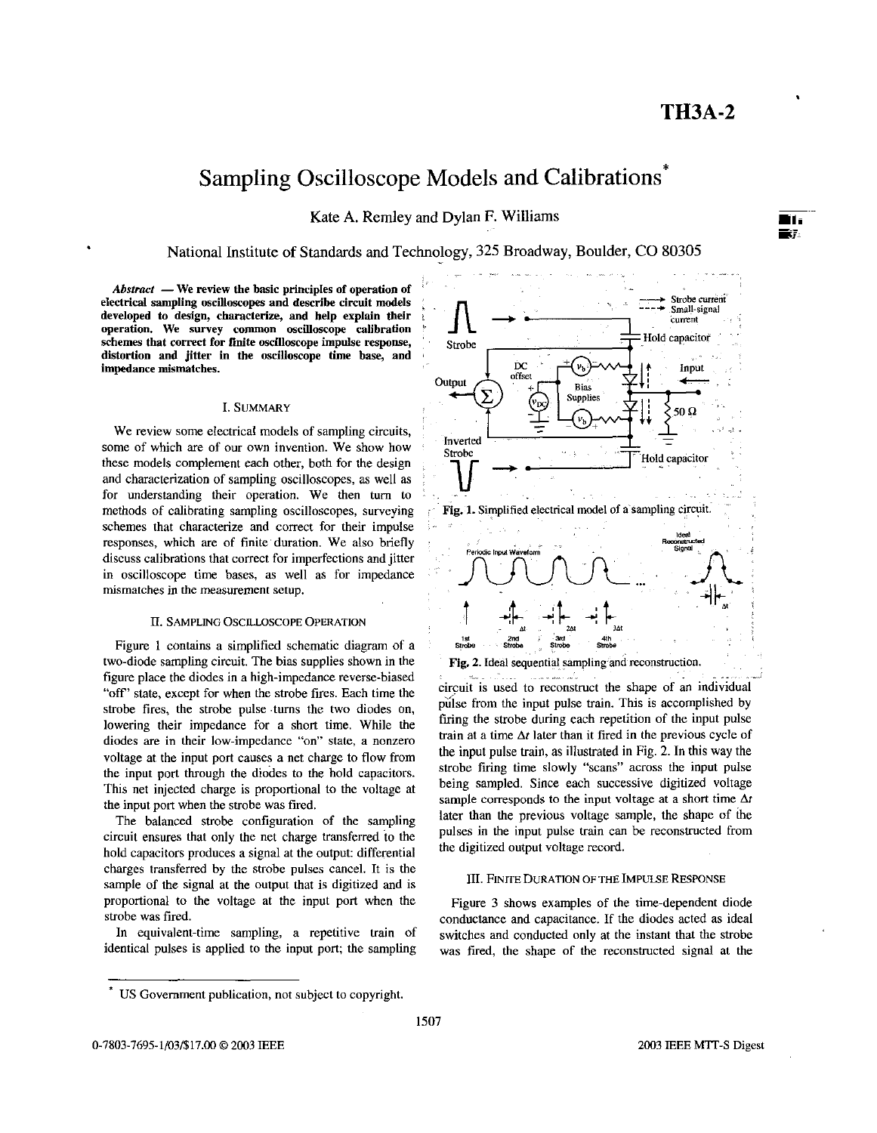# <span id="page-0-0"></span>Sampling Oscilloscope Models and Calibrations<sup>\*</sup>

<sup>~</sup>Kate **A.** Remley and Dylan F. Williams **13.** 

National Institute of Standards and Technology, 325 Broadway, Boulder, CO 80305

**EG** 

*Abstract* — We review the basic principles of operation of electrical sampling oscilloscopes and describe circuit models  $\overrightarrow{a}$   $\overrightarrow{b}$   $\overrightarrow{c}$  =  $\overrightarrow{c}$   $\overrightarrow{c}$  strobe currence developed to design, characterize, and help explain their  $\overrightarrow{c}$   $\overrightarrow{d}$  =  $\overrightarrow{c}$  =  $\overrightarrow{c}$ developed to design, characterize, and help explain their operation. We survey common oscilloscope calibration schemes that correct for finite oscilloscope impulse response, Strobe operation. We survey common oscilloscope calibration schemes that correct for finite oscilloscope impulse response, distortion and jitter in the oscilloscope time base, and impedance mismatches.

#### I. **SUMMARY**

We review some electrical models of sampling circuits, some of which are of our own invention. We show how these models complement each other, both for the design and characterization of sampling oscilloscopes, as well **as**  for understanding their operation. We then turn to methods of calibrating sampling oscilloscopes, surveying schemes that characterize and correct for their impulse responses, which are of finite duration. We also briefly discuss calibrations that correct for imperfections and jitter in oscilloscope time bases, **as** well as for impedance mismatches in the measurement setup.

## E. **SAMPLING OSCILLOSCOPE OPERATION**

Figure *1* contains a simplified schematic diagram of a two-diode sampling circuit. The bias supplies shown in the figure place the diodes in a high-impedance reverse-biased "off' state, except for when the strobe fires. Each time the strobe fires, the strobe pulse turns the two diodes on, lowering their impedance for a short time. While the diodes are in their low-impedance "on" state, a nonzero voltage at the input port causes a net charge to flow from the input port through the diodes to the hold capacitors. This net injected charge is proportional to the voltage at the input port when the strobe was fired.

The balanced strobe configuration of the sampling circuit ensures that only the net charge transferred to the hold capacitors produces a signal at the output: differential charges transferred by the strobe pulses cancel. It is the sample of the signal at the output that is digitized and is proportional to the voltage at the input port when the strobe was fired.

In equivalent-time sampling, a repetitive train of identical pulses is applied to the input port; the sampling



Fig. 2. Ideal sequential sampling and reconstruction.

circuit is used to reconstruct the shape of an individual pulse from the input pulse train. This is accomplished by firing the strobe during each repetition of the input pulse train at a time  $\Delta t$  later than it fired in the previous cycle of the input pulse train, as illustrated in Fig. 2. In this way the strobe firing time slowly "scans" across the input pulse being sampled. Since each successive digitized voltage sample corresponds to the input voltage at a short time  $\Delta t$ later than the previous voltage sample, the shape of he pulses in the input pulse train can be reconstructed from the digitized output voltage record.

#### **1II. FINITE DURATION OF THE IMPULSE RESPONSE**

Figure 3 shows examples of the time-dependent diode conductance and capacitance. If the diodes acted as ideal switches and conducted only at the instant that the strobe was fired, the shape of the reconstructed signal at the

~~ ~

US Government publication, not subject to copyright.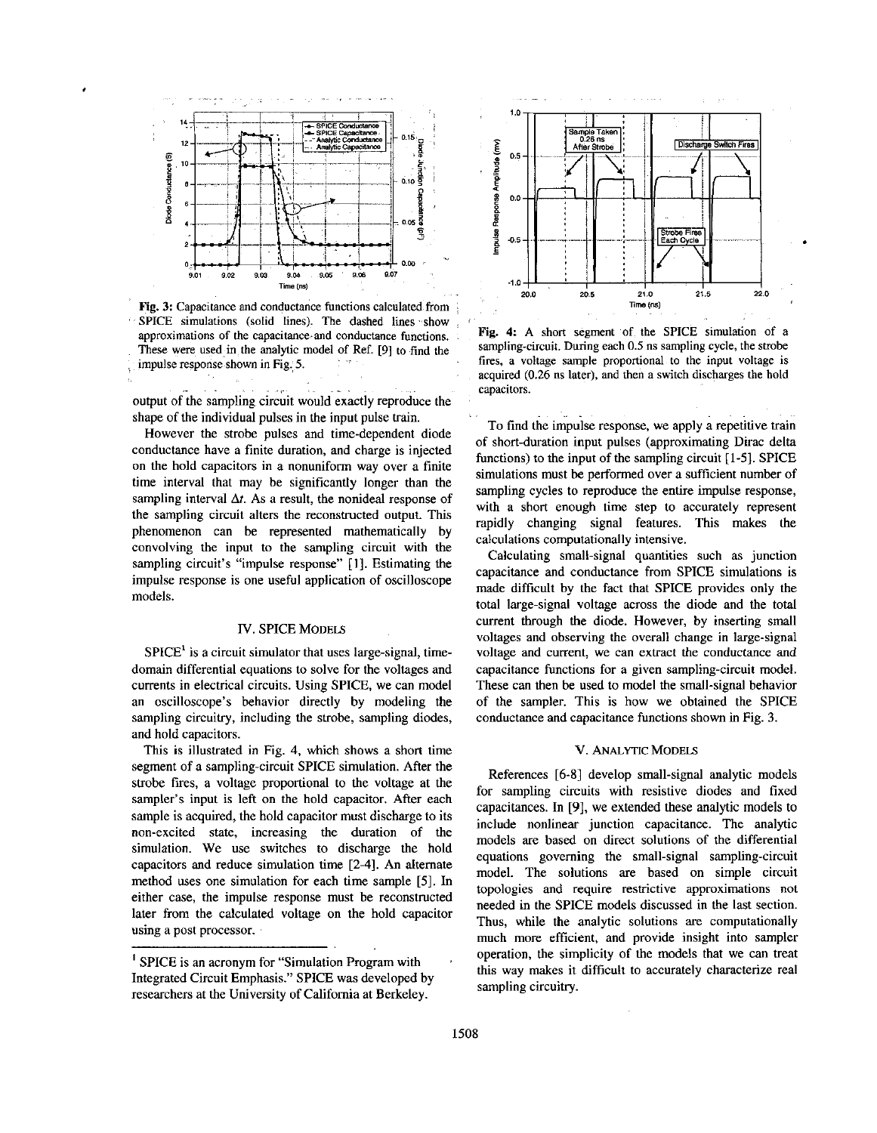

Fig. 3: Capacitance and conductance functions calculated from **SPICE** simulations (solid lines). The dashed lines show approximations of the capacitance and conductance functions. These were used in the analytic model of Ref. *[9]* to find the : impulse response shown in Fig. *5.* 

. . . . .,~ . ~ output of the sampling circuit would exactly reproduce the shape of the individual pulses in the input pulse train.

However the strobe pulses and time-dependent diode conductance have a finite duration, and charge is injected on the hold capacitors in a nonuniform way over a finite time interval that may be significantly longer than the sampling interval  $\Delta t$ . As a result, the nonideal response of the sampling circuit alters the reconstructed output. **This**  phenomenon can be represented mathematically by convolving the input to the sampling circuit with the sampling circuit's "impulse response" **[I].** Estimating the impulse response is one useful application of oscilloscope models.

# IV. SPICE MODELS

SPICE' **is** a circuit simulator that uses large-signal, timedomain differential equations to solve for the voltages and currents in electrical circuits. Using SPICE, we can model an oscilloscope's behavior directly by modeling the sampling circuitry, including the strobe, sampling diodes, and hold capacitors.

This is illustrated in Fig. **4,** which shows a short time segment of a sampling-circuit SPICE simulation. After the strobe fires, a voltage proportional to the voltage at the sampler's input is left on the hold capacitor. After each sample **is** acquired, the hold capacitor must discharge to its non-excited state, increasing the duration of the simulation. We use switches to discharge the hold capacitors and reduce simulation time **[2-4].** An alternate method uses one simulation for each time sample [5]. In either case, the impulse response must be reconstructed later from the calculated voltage on the hold capacitor using a post processor.



**Fig. 4: A** short segment of the SPICE simulation of a sampling-circuit. **During** each 0.5 ns sampling cycle, the strobe fires, a voltage sample proportional to the input voltage **is**  acquired *(0.26* ns later), and then a switch discharges the hold capacitors.

. ... To find the impulse response, we apply **a** repetitive train **of** short-duration input pulses (approximating Dirac delta functions) to the input of the sampling circuit **[1-5].** SPICE simulations must be performed over a sufficient number of sampling cycles to reproduce the entire impulse response, with a short enough time step to accurately represent rapidly changing signal features. This makes the calculations computationally intensive.

Calculating small-signal quantities such **as** junction capacitance and conductance from SPICE simulations is made difficult by the fact that SPICE provides only the total large-signal voltage across the diode and the total current through the diode. However, by inserting **small**  voltages and observing the overall change in large-signal voltage and current, we can extract the conductance and capacitance functions for a given sampling-circuit model. These can then be used to model the small-signal behavior of the sampler. This is bow we obtained the SPICE conductance and capacitance functions shown in Fig. **3.** 

## **v. ANALYTIC MODELS**

References [6-8] develop small-signal analytic models for sampling circuits with resistive diodes and fixed capacitances. In *[9],* we extended these analytic models to include nonlinear junction capacitance. The analytic models are based on direct solutions of the differential equations governing the small-signal sampling-circuit model. The solutions are based on simple circuit topologies and require restrictive approximations not needed in the SPICE models discussed in the last section. Thus, while the analytic solutions are computationally much more efficient, and provide insight into sampler operation, the simplicity of the models that we can treat this way makes it difficult to accurately characterize real sampling circuitry.

<sup>&#</sup>x27; SPICE is an acronym for "Simulation Program with Integrated Circuit Emphasis." SPICE was developed by researchers at the University of California at Berkeley.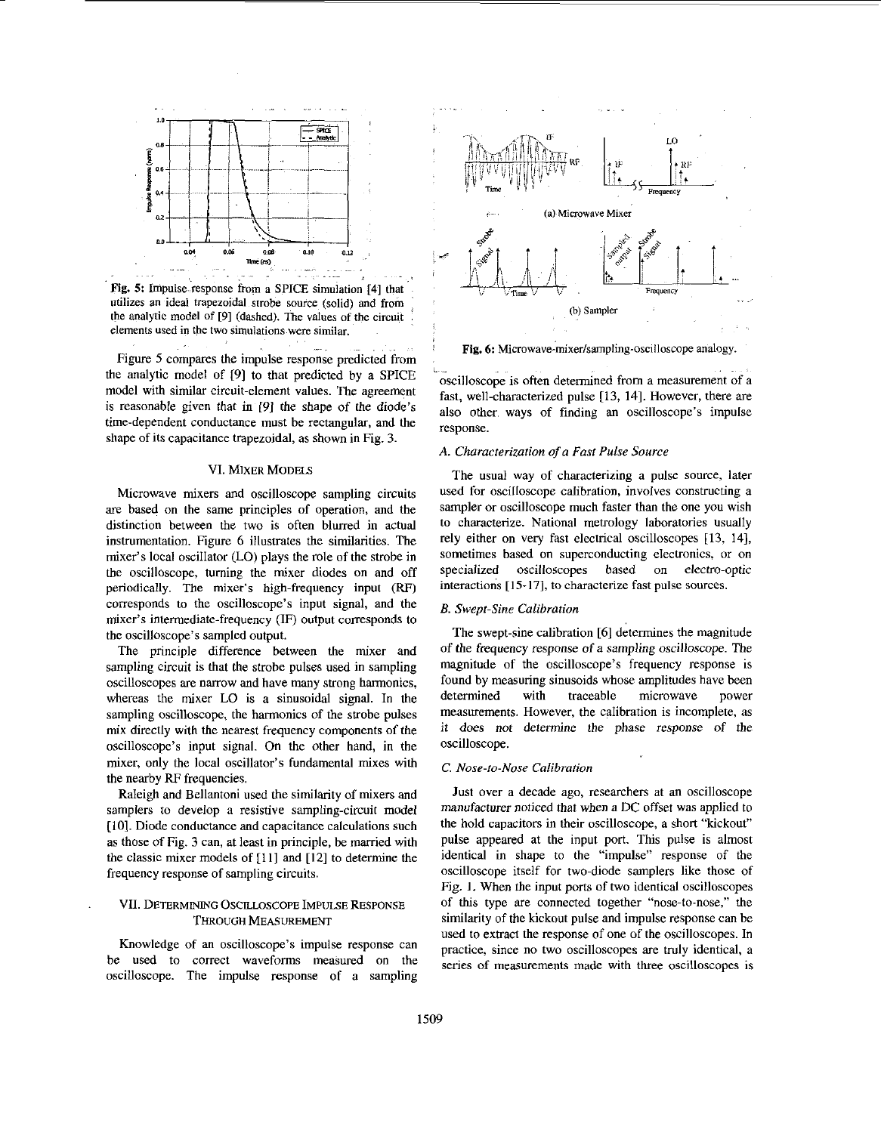

**Fig. 5:** Impulse response from a **SPICE** simulation' **[4]** that .' utilizes an ideal trapezoidal strobe source (solid) and **from** <sup>j</sup> the analytic model of  $[9]$  (dashed). The values of the circuit elements used in the two simulations were **similar.** 

......... Figure *5* compares the impulse response predicted from the analytic model of [9] to that predicted by a **SPICE**  model with similar circuit-element values. The agreement is reasonable given that in [9] the shape of the diode's time-dependent conductance must he rectangular, and the shape of its capacitance trapezoidal, **as** shown in Fig. **3.** 

## **VI.** MIXER MODELS

Microwave mixers and oscilloscope sampling circuits are based on the same principles of operation, and the distinction between the two is often blurred in actual instrumentation. Figure 6 illustrates the similarities. The mixer's local oscillator (LO) plays the role of the strobe in the oscilloscope, turning the mixer diodes on and off periodically. The mixer's high-frequency input  $(RF)$ corresponds to the oscilloscope's input signal, and the mixer's intermediate-frequency (IF) output corresponds to the oscilloscope's sampled output.

The principle difference between the mixer and sampling circuit is that the strobe pulses used in sampling oscilloscopes are narrow and have many strong harmonics, whereas the mixer LO is a sinusoidal signal. In the sampling oscilloscope, the harmonics **of** the strobe pulses mix directly with the neaest frequency components of the oscilloscope's input signal. On the other hand, in the mixer, only the local oscillator's fundamental mixes with the nearby RF frequencies.

Raleigh and Bellantoni used the similarity of mixers and samplers to develop a resistive sampling-circuit model [IO]. Diode conductance and capacitance calculations such **as** those **of** Fig. 3 can, at least in principle, be married with the classic mixer models of  $[11]$  and  $[12]$  to determine the frequency response of sampling circuits.

## . VII. DETERMINING OSCILLOSCOPE IMPULSE RESPONSE THROUGH MEASUREMENT

Knowledge of an oscilloscope's impulse response can he used to correct waveforms measured on the oscilloscope. The impulse response of a sampling



**Fig. 6:** Microwave-mixer/sampling-oscilloscope analogy.

,<br>News, <sub>1991</sub> - Louis Construction (1992), and the second construction (1992), and the second construction (1992) oscilloscope **is** often determined from a measurement of a fast, well-characterized pulse [13, 14]. However, there are **also** other, ways of finding an oscilloscope's impulse response.

## *A. Characterization of a Fast Pulse Source*

The usual way of characterizing a pulse source, later used for oscilloscope calibration, involves constructing a sampler or oscilloscope much faster than the one you wish to characterize. National metrology laboratories usually rely either on very fast electrical oscilloscopes [13, 14], sometimes based on superconducting electronics, or on specialized oscilloscopes based on electro-optic interactions **[15-171,** to characterize fast pulse sources.

#### *B. Swept-Sine Calibration*

The swept-sine calibration [6] determines the magnitude of the frequency response of a sampling oscilloscope. The magnitude of the oscilloscope's frequency response is found by measuring sinusoids whose amplitudes have been determined with traceable microwave power measurements. However, the calibration **is** incomplete, as it does not determine the phase response of the oscilloscope.

#### *C. Nose-to-Nose Calibration*

Just over a decade ago, researchers at an oscilloscope manufacturer noticed that when a DC offset was applied to the hold capacitors in their oscilloscope, a short "kickout" pulse appeared at the input port. This pulse is almost identical in shape to the "impulse" response of the oscilloscope itself for two-diode samplers like those of **[Fig. 1.](#page-0-0)** When the input ports of two identical oscilloscopes of this type are connected together "nose-to-nose," the similarity of the kickout pulse and impulse response can he used to extract the response of one of the oscilloscopes. In practice, since no two oscilloscopes are truly identical, a series **of** measurements made with three oscilloscopes is